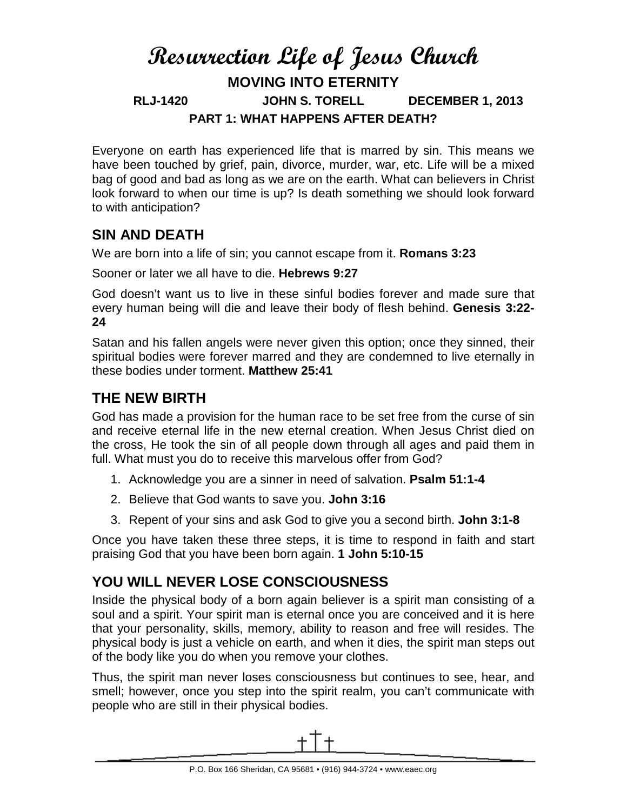# **Resurrection Life of Jesus Church MOVING INTO ETERNITY RLJ-1420 JOHN S. TORELL DECEMBER 1, 2013 PART 1: WHAT HAPPENS AFTER DEATH?**

Everyone on earth has experienced life that is marred by sin. This means we have been touched by grief, pain, divorce, murder, war, etc. Life will be a mixed bag of good and bad as long as we are on the earth. What can believers in Christ look forward to when our time is up? Is death something we should look forward to with anticipation?

#### **SIN AND DEATH**

We are born into a life of sin; you cannot escape from it. **Romans 3:23**

Sooner or later we all have to die. **Hebrews 9:27**

God doesn't want us to live in these sinful bodies forever and made sure that every human being will die and leave their body of flesh behind. **Genesis 3:22- 24**

Satan and his fallen angels were never given this option; once they sinned, their spiritual bodies were forever marred and they are condemned to live eternally in these bodies under torment. **Matthew 25:41**

#### **THE NEW BIRTH**

God has made a provision for the human race to be set free from the curse of sin and receive eternal life in the new eternal creation. When Jesus Christ died on the cross, He took the sin of all people down through all ages and paid them in full. What must you do to receive this marvelous offer from God?

- 1. Acknowledge you are a sinner in need of salvation. **Psalm 51:1-4**
- 2. Believe that God wants to save you. **John 3:16**
- 3. Repent of your sins and ask God to give you a second birth. **John 3:1-8**

Once you have taken these three steps, it is time to respond in faith and start praising God that you have been born again. **1 John 5:10-15**

## **YOU WILL NEVER LOSE CONSCIOUSNESS**

Inside the physical body of a born again believer is a spirit man consisting of a soul and a spirit. Your spirit man is eternal once you are conceived and it is here that your personality, skills, memory, ability to reason and free will resides. The physical body is just a vehicle on earth, and when it dies, the spirit man steps out of the body like you do when you remove your clothes.

Thus, the spirit man never loses consciousness but continues to see, hear, and smell; however, once you step into the spirit realm, you can't communicate with people who are still in their physical bodies.

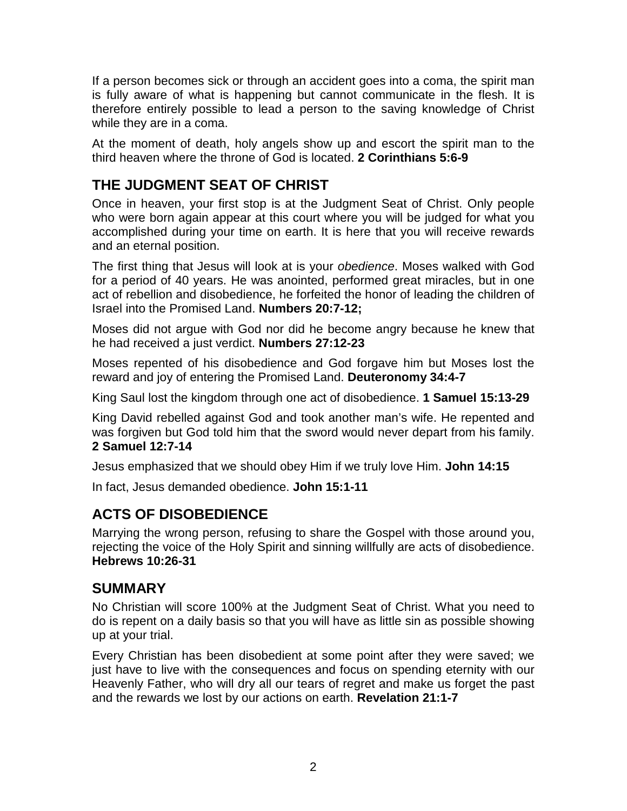If a person becomes sick or through an accident goes into a coma, the spirit man is fully aware of what is happening but cannot communicate in the flesh. It is therefore entirely possible to lead a person to the saving knowledge of Christ while they are in a coma.

At the moment of death, holy angels show up and escort the spirit man to the third heaven where the throne of God is located. **2 Corinthians 5:6-9**

### **THE JUDGMENT SEAT OF CHRIST**

Once in heaven, your first stop is at the Judgment Seat of Christ. Only people who were born again appear at this court where you will be judged for what you accomplished during your time on earth. It is here that you will receive rewards and an eternal position.

The first thing that Jesus will look at is your *obedience*. Moses walked with God for a period of 40 years. He was anointed, performed great miracles, but in one act of rebellion and disobedience, he forfeited the honor of leading the children of Israel into the Promised Land. **Numbers 20:7-12;**

Moses did not argue with God nor did he become angry because he knew that he had received a just verdict. **Numbers 27:12-23**

Moses repented of his disobedience and God forgave him but Moses lost the reward and joy of entering the Promised Land. **Deuteronomy 34:4-7**

King Saul lost the kingdom through one act of disobedience. **1 Samuel 15:13-29**

King David rebelled against God and took another man's wife. He repented and was forgiven but God told him that the sword would never depart from his family. **2 Samuel 12:7-14**

Jesus emphasized that we should obey Him if we truly love Him. **John 14:15**

In fact, Jesus demanded obedience. **John 15:1-11**

#### **ACTS OF DISOBEDIENCE**

Marrying the wrong person, refusing to share the Gospel with those around you, rejecting the voice of the Holy Spirit and sinning willfully are acts of disobedience. **Hebrews 10:26-31**

#### **SUMMARY**

No Christian will score 100% at the Judgment Seat of Christ. What you need to do is repent on a daily basis so that you will have as little sin as possible showing up at your trial.

Every Christian has been disobedient at some point after they were saved; we just have to live with the consequences and focus on spending eternity with our Heavenly Father, who will dry all our tears of regret and make us forget the past and the rewards we lost by our actions on earth. **Revelation 21:1-7**